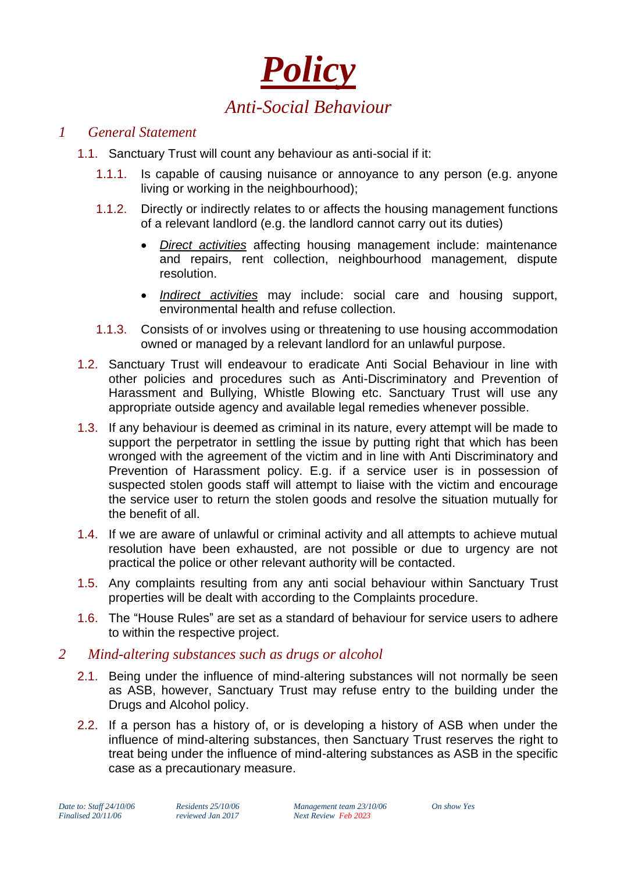

#### *1 General Statement*

- 1.1. Sanctuary Trust will count any behaviour as anti-social if it:
	- 1.1.1. Is capable of causing nuisance or annoyance to any person (e.g. anyone living or working in the neighbourhood);
	- 1.1.2. Directly or indirectly relates to or affects the housing management functions of a relevant landlord (e.g. the landlord cannot carry out its duties)
		- *Direct activities* affecting housing management include: maintenance and repairs, rent collection, neighbourhood management, dispute resolution.
		- *Indirect activities* may include: social care and housing support, environmental health and refuse collection.
	- 1.1.3. Consists of or involves using or threatening to use housing accommodation owned or managed by a relevant landlord for an unlawful purpose.
- 1.2. Sanctuary Trust will endeavour to eradicate Anti Social Behaviour in line with other policies and procedures such as Anti-Discriminatory and Prevention of Harassment and Bullying, Whistle Blowing etc. Sanctuary Trust will use any appropriate outside agency and available legal remedies whenever possible.
- 1.3. If any behaviour is deemed as criminal in its nature, every attempt will be made to support the perpetrator in settling the issue by putting right that which has been wronged with the agreement of the victim and in line with Anti Discriminatory and Prevention of Harassment policy. E.g. if a service user is in possession of suspected stolen goods staff will attempt to liaise with the victim and encourage the service user to return the stolen goods and resolve the situation mutually for the benefit of all.
- 1.4. If we are aware of unlawful or criminal activity and all attempts to achieve mutual resolution have been exhausted, are not possible or due to urgency are not practical the police or other relevant authority will be contacted.
- 1.5. Any complaints resulting from any anti social behaviour within Sanctuary Trust properties will be dealt with according to the Complaints procedure.
- 1.6. The "House Rules" are set as a standard of behaviour for service users to adhere to within the respective project.

## *2 Mind-altering substances such as drugs or alcohol*

- 2.1. Being under the influence of mind-altering substances will not normally be seen as ASB, however, Sanctuary Trust may refuse entry to the building under the Drugs and Alcohol policy.
- 2.2. If a person has a history of, or is developing a history of ASB when under the influence of mind-altering substances, then Sanctuary Trust reserves the right to treat being under the influence of mind-altering substances as ASB in the specific case as a precautionary measure.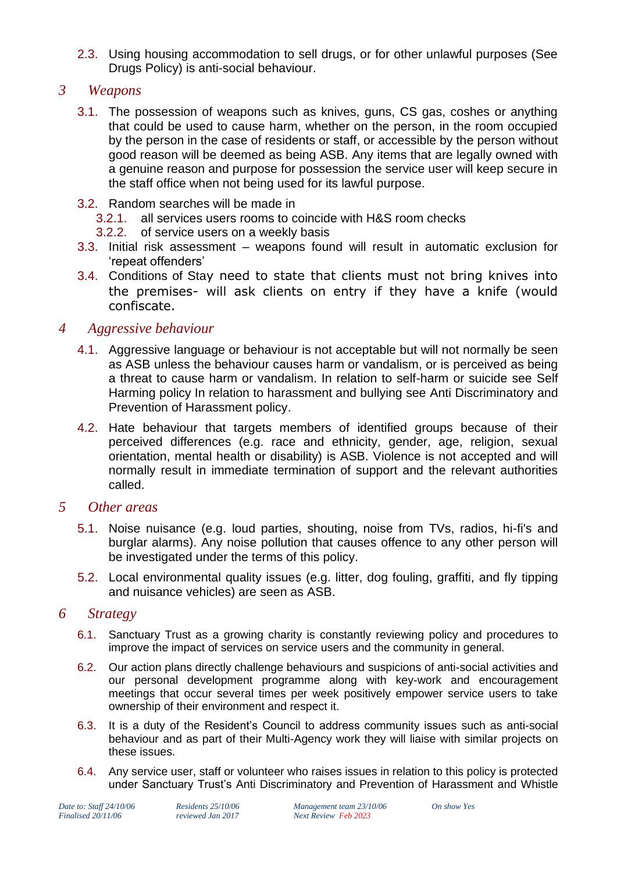2.3. Using housing accommodation to sell drugs, or for other unlawful purposes (See Drugs Policy) is anti-social behaviour.

## *3 Weapons*

- 3.1. The possession of weapons such as knives, guns, CS gas, coshes or anything that could be used to cause harm, whether on the person, in the room occupied by the person in the case of residents or staff, or accessible by the person without good reason will be deemed as being ASB. Any items that are legally owned with a genuine reason and purpose for possession the service user will keep secure in the staff office when not being used for its lawful purpose.
- 3.2. Random searches will be made in
	- 3.2.1. all services users rooms to coincide with H&S room checks
	- 3.2.2. of service users on a weekly basis
- 3.3. Initial risk assessment weapons found will result in automatic exclusion for 'repeat offenders'
- 3.4. Conditions of Stay need to state that clients must not bring knives into the premises- will ask clients on entry if they have a knife (would confiscate.

## *4 Aggressive behaviour*

- 4.1. Aggressive language or behaviour is not acceptable but will not normally be seen as ASB unless the behaviour causes harm or vandalism, or is perceived as being a threat to cause harm or vandalism. In relation to self-harm or suicide see Self Harming policy In relation to harassment and bullying see Anti Discriminatory and Prevention of Harassment policy.
- 4.2. Hate behaviour that targets members of identified groups because of their perceived differences (e.g. race and ethnicity, gender, age, religion, sexual orientation, mental health or disability) is ASB. Violence is not accepted and will normally result in immediate termination of support and the relevant authorities called.

# *5 Other areas*

- 5.1. Noise nuisance (e.g. loud parties, shouting, noise from TVs, radios, hi-fi's and burglar alarms). Any noise pollution that causes offence to any other person will be investigated under the terms of this policy.
- 5.2. Local environmental quality issues (e.g. litter, dog fouling, graffiti, and fly tipping and nuisance vehicles) are seen as ASB.

# *6 Strategy*

- 6.1. Sanctuary Trust as a growing charity is constantly reviewing policy and procedures to improve the impact of services on service users and the community in general.
- 6.2. Our action plans directly challenge behaviours and suspicions of anti-social activities and our personal development programme along with key-work and encouragement meetings that occur several times per week positively empower service users to take ownership of their environment and respect it.
- 6.3. It is a duty of the Resident's Council to address community issues such as anti-social behaviour and as part of their Multi-Agency work they will liaise with similar projects on these issues.
- 6.4. Any service user, staff or volunteer who raises issues in relation to this policy is protected under Sanctuary Trust's Anti Discriminatory and Prevention of Harassment and Whistle